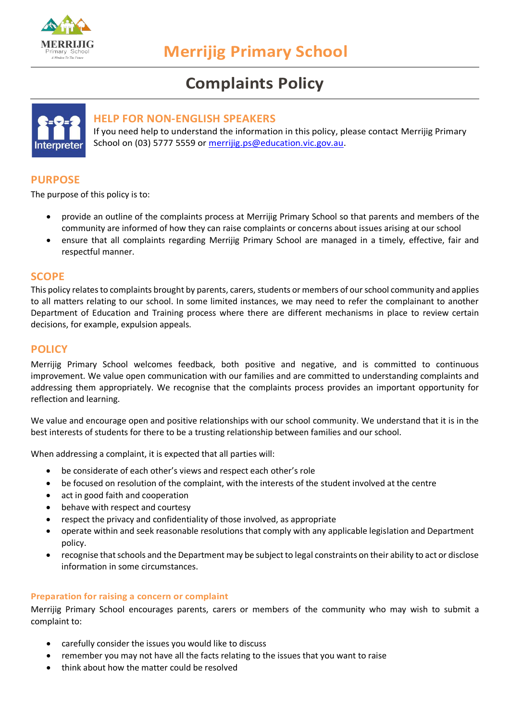

# **Complaints Policy**



# **HELP FOR NON-ENGLISH SPEAKERS**

If you need help to understand the information in this policy, please contact Merrijig Primary School on (03) 5777 5559 or [merrijig.ps@education.vic.gov.au.](mailto:merrijig.ps@education.vic.gov.au)

# **PURPOSE**

The purpose of this policy is to:

- provide an outline of the complaints process at Merrijig Primary School so that parents and members of the community are informed of how they can raise complaints or concerns about issues arising at our school
- ensure that all complaints regarding Merrijig Primary School are managed in a timely, effective, fair and respectful manner.

## **SCOPE**

This policy relates to complaints brought by parents, carers, students or members of our school community and applies to all matters relating to our school. In some limited instances, we may need to refer the complainant to another Department of Education and Training process where there are different mechanisms in place to review certain decisions, for example, expulsion appeals.

# **POLICY**

Merrijig Primary School welcomes feedback, both positive and negative, and is committed to continuous improvement. We value open communication with our families and are committed to understanding complaints and addressing them appropriately. We recognise that the complaints process provides an important opportunity for reflection and learning.

We value and encourage open and positive relationships with our school community. We understand that it is in the best interests of students for there to be a trusting relationship between families and our school.

When addressing a complaint, it is expected that all parties will:

- be considerate of each other's views and respect each other's role
- be focused on resolution of the complaint, with the interests of the student involved at the centre
- act in good faith and cooperation
- behave with respect and courtesy
- respect the privacy and confidentiality of those involved, as appropriate
- operate within and seek reasonable resolutions that comply with any applicable legislation and Department policy.
- recognise that schools and the Department may be subject to legal constraints on their ability to act or disclose information in some circumstances.

#### **Preparation for raising a concern or complaint**

Merrijig Primary School encourages parents, carers or members of the community who may wish to submit a complaint to:

- carefully consider the issues you would like to discuss
- remember you may not have all the facts relating to the issues that you want to raise
- think about how the matter could be resolved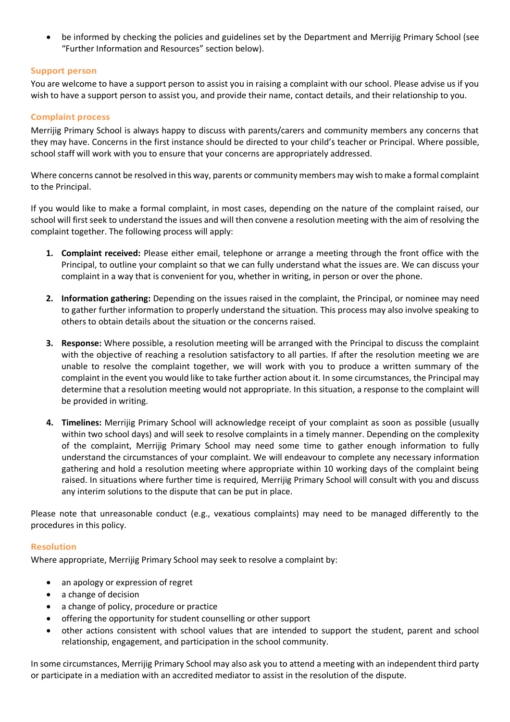• be informed by checking the policies and guidelines set by the Department and Merrijig Primary School (see "Further Information and Resources" section below).

## **Support person**

You are welcome to have a support person to assist you in raising a complaint with our school. Please advise us if you wish to have a support person to assist you, and provide their name, contact details, and their relationship to you.

#### **Complaint process**

Merrijig Primary School is always happy to discuss with parents/carers and community members any concerns that they may have. Concerns in the first instance should be directed to your child's teacher or Principal. Where possible, school staff will work with you to ensure that your concerns are appropriately addressed.

Where concerns cannot be resolved in this way, parents or community members may wish to make a formal complaint to the Principal.

If you would like to make a formal complaint, in most cases, depending on the nature of the complaint raised, our school will first seek to understand the issues and will then convene a resolution meeting with the aim of resolving the complaint together. The following process will apply:

- **1. Complaint received:** Please either email, telephone or arrange a meeting through the front office with the Principal, to outline your complaint so that we can fully understand what the issues are. We can discuss your complaint in a way that is convenient for you, whether in writing, in person or over the phone.
- **2. Information gathering:** Depending on the issues raised in the complaint, the Principal, or nominee may need to gather further information to properly understand the situation. This process may also involve speaking to others to obtain details about the situation or the concerns raised.
- **3. Response:** Where possible, a resolution meeting will be arranged with the Principal to discuss the complaint with the objective of reaching a resolution satisfactory to all parties. If after the resolution meeting we are unable to resolve the complaint together, we will work with you to produce a written summary of the complaint in the event you would like to take further action about it. In some circumstances, the Principal may determine that a resolution meeting would not appropriate. In this situation, a response to the complaint will be provided in writing.
- **4. Timelines:** Merrijig Primary School will acknowledge receipt of your complaint as soon as possible (usually within two school days) and will seek to resolve complaints in a timely manner. Depending on the complexity of the complaint, Merrijig Primary School may need some time to gather enough information to fully understand the circumstances of your complaint. We will endeavour to complete any necessary information gathering and hold a resolution meeting where appropriate within 10 working days of the complaint being raised. In situations where further time is required, Merrijig Primary School will consult with you and discuss any interim solutions to the dispute that can be put in place.

Please note that unreasonable conduct (e.g., vexatious complaints) may need to be managed differently to the procedures in this policy.

#### **Resolution**

Where appropriate, Merrijig Primary School may seek to resolve a complaint by:

- an apology or expression of regret
- a change of decision
- a change of policy, procedure or practice
- offering the opportunity for student counselling or other support
- other actions consistent with school values that are intended to support the student, parent and school relationship, engagement, and participation in the school community.

In some circumstances, Merrijig Primary School may also ask you to attend a meeting with an independent third party or participate in a mediation with an accredited mediator to assist in the resolution of the dispute.